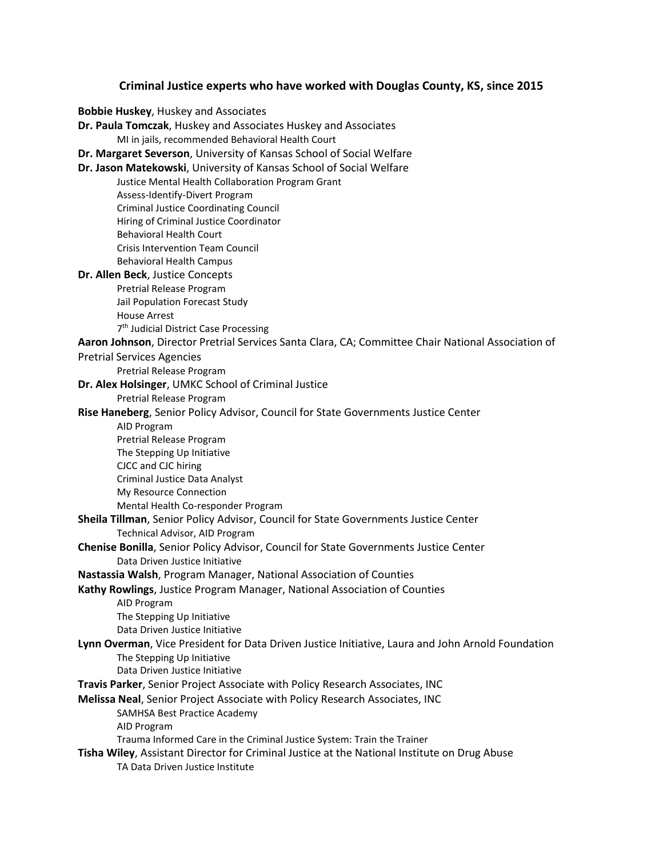## **Criminal Justice experts who have worked with Douglas County, KS, since 2015**

**Bobbie Huskey**, Huskey and Associates **Dr. Paula Tomczak**, Huskey and Associates Huskey and Associates MI in jails, recommended Behavioral Health Court **Dr. Margaret Severson**, University of Kansas School of Social Welfare **Dr. Jason Matekowski**, University of Kansas School of Social Welfare Justice Mental Health Collaboration Program Grant Assess-Identify-Divert Program Criminal Justice Coordinating Council Hiring of Criminal Justice Coordinator Behavioral Health Court Crisis Intervention Team Council Behavioral Health Campus **Dr. Allen Beck**, Justice Concepts Pretrial Release Program Jail Population Forecast Study House Arrest 7<sup>th</sup> Judicial District Case Processing **Aaron Johnson**, Director Pretrial Services Santa Clara, CA; Committee Chair National Association of Pretrial Services Agencies Pretrial Release Program **Dr. Alex Holsinger**, UMKC School of Criminal Justice Pretrial Release Program **Rise Haneberg**, Senior Policy Advisor, Council for State Governments Justice Center AID Program Pretrial Release Program The Stepping Up Initiative CJCC and CJC hiring Criminal Justice Data Analyst My Resource Connection Mental Health Co-responder Program **Sheila Tillman**, Senior Policy Advisor, Council for State Governments Justice Center Technical Advisor, AID Program **Chenise Bonilla**, Senior Policy Advisor, Council for State Governments Justice Center Data Driven Justice Initiative **Nastassia Walsh**, Program Manager, National Association of Counties **Kathy Rowlings**, Justice Program Manager, National Association of Counties AID Program The Stepping Up Initiative Data Driven Justice Initiative **Lynn Overman**, Vice President for Data Driven Justice Initiative, Laura and John Arnold Foundation The Stepping Up Initiative Data Driven Justice Initiative **Travis Parker**, Senior Project Associate with Policy Research Associates, INC **Melissa Neal**, Senior Project Associate with Policy Research Associates, INC SAMHSA Best Practice Academy AID Program Trauma Informed Care in the Criminal Justice System: Train the Trainer **Tisha Wiley**, Assistant Director for Criminal Justice at the National Institute on Drug Abuse TA Data Driven Justice Institute